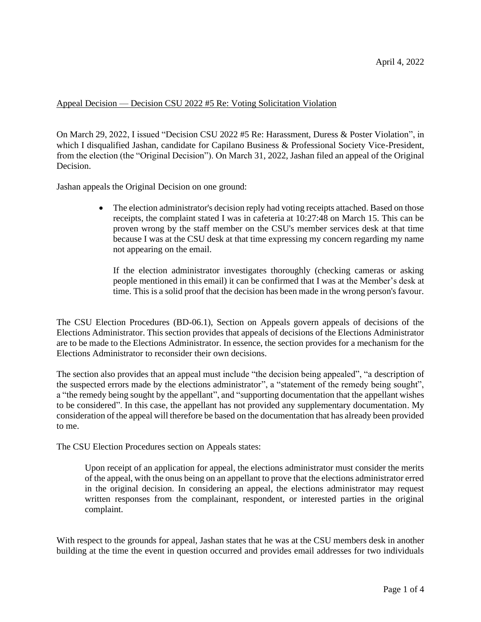## Appeal Decision — Decision CSU 2022 #5 Re: Voting Solicitation Violation

On March 29, 2022, I issued "Decision CSU 2022 #5 Re: Harassment, Duress & Poster Violation", in which I disqualified Jashan, candidate for Capilano Business & Professional Society Vice-President, from the election (the "Original Decision"). On March 31, 2022, Jashan filed an appeal of the Original Decision.

Jashan appeals the Original Decision on one ground:

• The election administrator's decision reply had voting receipts attached. Based on those receipts, the complaint stated I was in cafeteria at 10:27:48 on March 15. This can be proven wrong by the staff member on the CSU's member services desk at that time because I was at the CSU desk at that time expressing my concern regarding my name not appearing on the email.

If the election administrator investigates thoroughly (checking cameras or asking people mentioned in this email) it can be confirmed that I was at the Member's desk at time. This is a solid proof that the decision has been made in the wrong person's favour.

The CSU Election Procedures (BD-06.1), Section on Appeals govern appeals of decisions of the Elections Administrator. This section provides that appeals of decisions of the Elections Administrator are to be made to the Elections Administrator. In essence, the section provides for a mechanism for the Elections Administrator to reconsider their own decisions.

The section also provides that an appeal must include "the decision being appealed", "a description of the suspected errors made by the elections administrator", a "statement of the remedy being sought", a "the remedy being sought by the appellant", and "supporting documentation that the appellant wishes to be considered". In this case, the appellant has not provided any supplementary documentation. My consideration of the appeal will therefore be based on the documentation that has already been provided to me.

The CSU Election Procedures section on Appeals states:

Upon receipt of an application for appeal, the elections administrator must consider the merits of the appeal, with the onus being on an appellant to prove that the elections administrator erred in the original decision. In considering an appeal, the elections administrator may request written responses from the complainant, respondent, or interested parties in the original complaint.

With respect to the grounds for appeal, Jashan states that he was at the CSU members desk in another building at the time the event in question occurred and provides email addresses for two individuals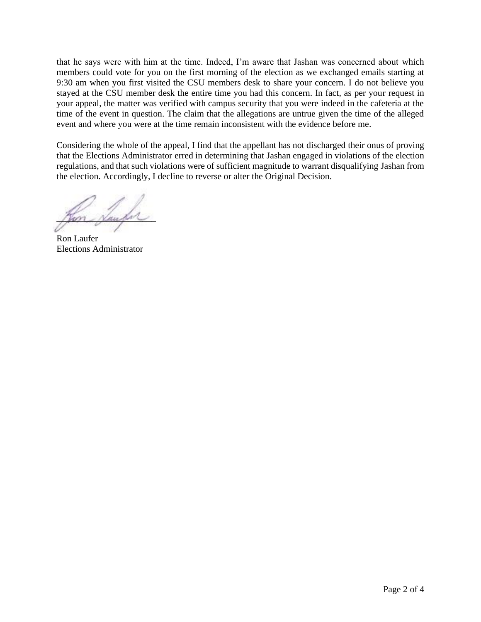that he says were with him at the time. Indeed, I'm aware that Jashan was concerned about which members could vote for you on the first morning of the election as we exchanged emails starting at 9:30 am when you first visited the CSU members desk to share your concern. I do not believe you stayed at the CSU member desk the entire time you had this concern. In fact, as per your request in your appeal, the matter was verified with campus security that you were indeed in the cafeteria at the time of the event in question. The claim that the allegations are untrue given the time of the alleged event and where you were at the time remain inconsistent with the evidence before me.

Considering the whole of the appeal, I find that the appellant has not discharged their onus of proving that the Elections Administrator erred in determining that Jashan engaged in violations of the election regulations, and that such violations were of sufficient magnitude to warrant disqualifying Jashan from the election. Accordingly, I decline to reverse or alter the Original Decision.

Mon <u>Number</u>

Ron Laufer Elections Administrator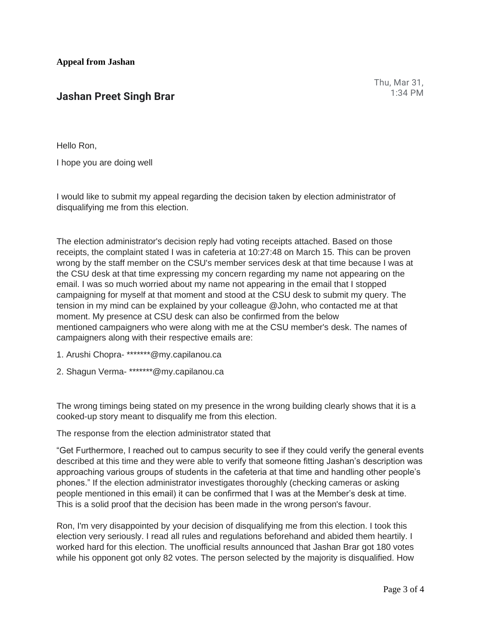Thu, Mar 31, 1:34 PM

Hello Ron,

I hope you are doing well

I would like to submit my appeal regarding the decision taken by election administrator of disqualifying me from this election.

The election administrator's decision reply had voting receipts attached. Based on those receipts, the complaint stated I was in cafeteria at 10:27:48 on March 15. This can be proven wrong by the staff member on the CSU's member services desk at that time because I was at the CSU desk at that time expressing my concern regarding my name not appearing on the email. I was so much worried about my name not appearing in the email that I stopped campaigning for myself at that moment and stood at the CSU desk to submit my query. The tension in my mind can be explained by your colleague @John, who contacted me at that moment. My presence at CSU desk can also be confirmed from the below mentioned campaigners who were along with me at the CSU member's desk. The names of campaigners along with their respective emails are:

- 1. Arushi Chopra- \*\*\*\*\*\*\*@my.capilanou.ca
- 2. Shagun Verma- \*\*\*\*\*\*\*@my.capilanou.ca

The wrong timings being stated on my presence in the wrong building clearly shows that it is a cooked-up story meant to disqualify me from this election.

The response from the election administrator stated that

"Get Furthermore, I reached out to campus security to see if they could verify the general events described at this time and they were able to verify that someone fitting Jashan's description was approaching various groups of students in the cafeteria at that time and handling other people's phones." If the election administrator investigates thoroughly (checking cameras or asking people mentioned in this email) it can be confirmed that I was at the Member's desk at time. This is a solid proof that the decision has been made in the wrong person's favour.

Ron, I'm very disappointed by your decision of disqualifying me from this election. I took this election very seriously. I read all rules and regulations beforehand and abided them heartily. I worked hard for this election. The unofficial results announced that Jashan Brar got 180 votes while his opponent got only 82 votes. The person selected by the majority is disqualified. How